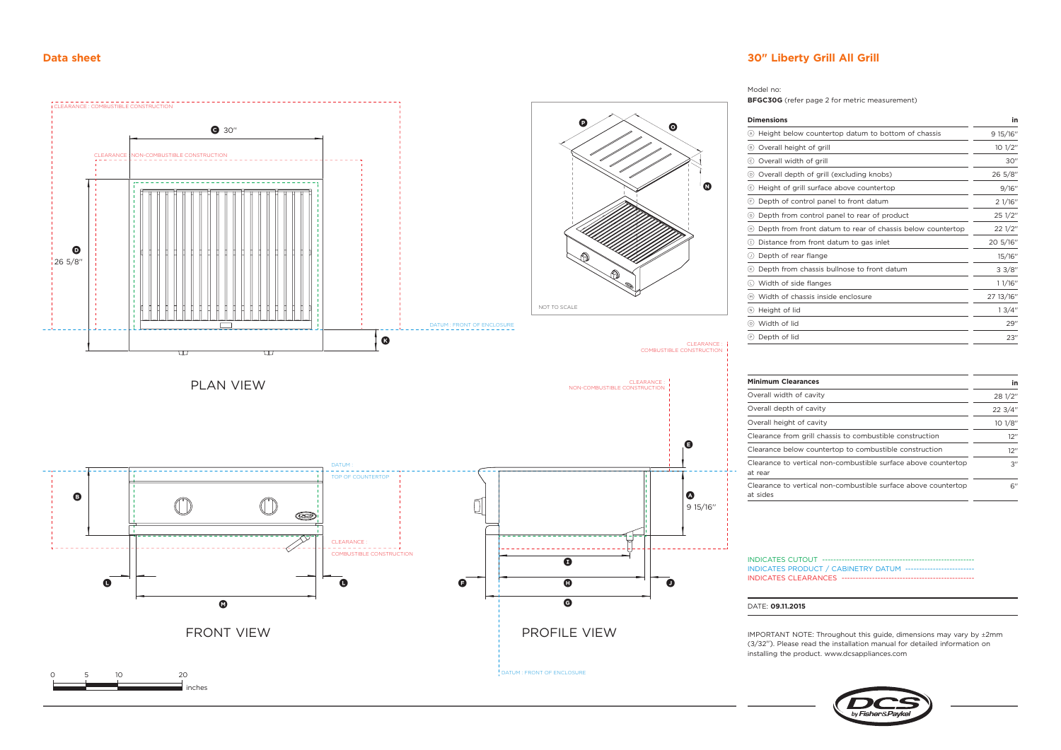inches

## **Data sheet 30" Liberty Grill All Grill**





 $3''$ 

6''